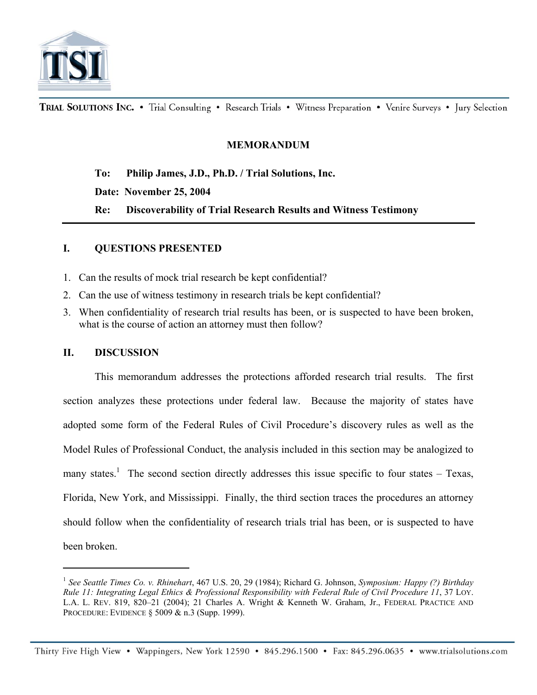

TRIAL SOLUTIONS INC. . Trial Consulting . Research Trials . Witness Preparation . Venire Surveys . Jury Selection

## **MEMORANDUM**

 **To: Philip James, J.D., Ph.D. / Trial Solutions, Inc.** 

 **Date: November 25, 2004** 

 **Re: Discoverability of Trial Research Results and Witness Testimony** 

## **I. QUESTIONS PRESENTED**

- 1. Can the results of mock trial research be kept confidential?
- 2. Can the use of witness testimony in research trials be kept confidential?
- 3. When confidentiality of research trial results has been, or is suspected to have been broken, what is the course of action an attorney must then follow?

#### **II. DISCUSSION**

 $\overline{a}$ 

This memorandum addresses the protections afforded research trial results. The first section analyzes these protections under federal law. Because the majority of states have adopted some form of the Federal Rules of Civil Procedure's discovery rules as well as the Model Rules of Professional Conduct, the analysis included in this section may be analogized to many states.<sup>1</sup> The second section directly addresses this issue specific to four states – Texas, Florida, New York, and Mississippi. Finally, the third section traces the procedures an attorney should follow when the confidentiality of research trials trial has been, or is suspected to have been broken.

<sup>1</sup> *See Seattle Times Co. v. Rhinehart*, 467 U.S. 20, 29 (1984); Richard G. Johnson, *Symposium: Happy (?) Birthday Rule 11: Integrating Legal Ethics & Professional Responsibility with Federal Rule of Civil Procedure 11*, 37 LOY. L.A. L. REV. 819, 820–21 (2004); 21 Charles A. Wright & Kenneth W. Graham, Jr., FEDERAL PRACTICE AND PROCEDURE: EVIDENCE § 5009 & n.3 (Supp. 1999).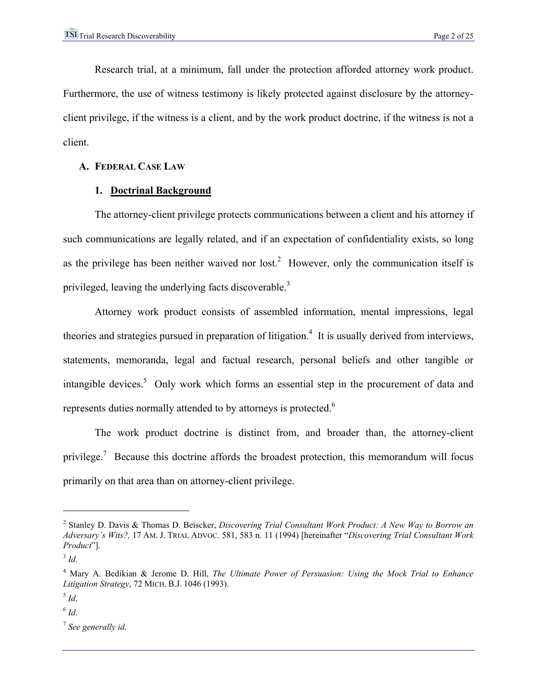Research trial, at a minimum, fall under the protection afforded attorney work product. Furthermore, the use of witness testimony is likely protected against disclosure by the attorneyclient privilege, if the witness is a client, and by the work product doctrine, if the witness is not a client.

### **A. FEDERAL CASE LAW**

# **1. Doctrinal Background**

The attorney-client privilege protects communications between a client and his attorney if such communications are legally related, and if an expectation of confidentiality exists, so long as the privilege has been neither waived nor lost.<sup>2</sup> However, only the communication itself is privileged, leaving the underlying facts discoverable.<sup>3</sup>

Attorney work product consists of assembled information, mental impressions, legal theories and strategies pursued in preparation of litigation.<sup>4</sup> It is usually derived from interviews, statements, memoranda, legal and factual research, personal beliefs and other tangible or intangible devices.<sup>5</sup> Only work which forms an essential step in the procurement of data and represents duties normally attended to by attorneys is protected.<sup>6</sup>

The work product doctrine is distinct from, and broader than, the attorney-client privilege.<sup>7</sup> Because this doctrine affords the broadest protection, this memorandum will focus primarily on that area than on attorney-client privilege.

<sup>2</sup> Stanley D. Davis & Thomas D. Beiscker, *Discovering Trial Consultant Work Product: A New Way to Borrow an Adversary's Wits?,* 17 AM. J. TRIAL ADVOC. 581, 583 n. 11 (1994) [hereinafter "*Discovering Trial Consultant Work Product*"].

 $3$  *Id.* 

<sup>4</sup> Mary A. Bedikian & Jerome D. Hill, *The Ultimate Power of Persuasion: Using the Mock Trial to Enhance Litigation Strategy*, 72 MICH. B.J. 1046 (1993).

 $^5$  *Id*.

<sup>6</sup> *Id*.

<sup>7</sup> *See generally id.*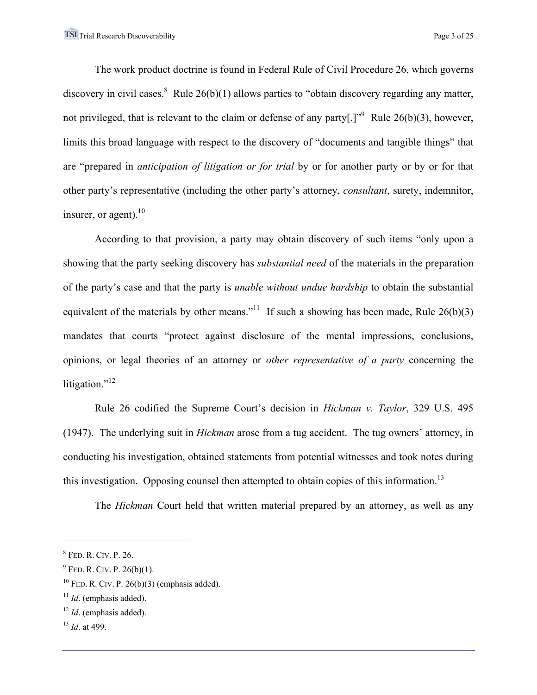The work product doctrine is found in Federal Rule of Civil Procedure 26, which governs discovery in civil cases.<sup>8</sup> Rule  $26(b)(1)$  allows parties to "obtain discovery regarding any matter, not privileged, that is relevant to the claim or defense of any party[.]<sup>"9</sup> Rule 26(b)(3), however, limits this broad language with respect to the discovery of "documents and tangible things" that are "prepared in *anticipation of litigation or for trial* by or for another party or by or for that other party's representative (including the other party's attorney, *consultant*, surety, indemnitor, insurer, or agent). $^{10}$ 

According to that provision, a party may obtain discovery of such items "only upon a showing that the party seeking discovery has *substantial need* of the materials in the preparation of the party's case and that the party is *unable without undue hardship* to obtain the substantial equivalent of the materials by other means."<sup>11</sup> If such a showing has been made, Rule  $26(b)(3)$ mandates that courts "protect against disclosure of the mental impressions, conclusions, opinions, or legal theories of an attorney or *other representative of a party* concerning the litigation."<sup>12</sup>

Rule 26 codified the Supreme Court's decision in *Hickman v. Taylor*, 329 U.S. 495 (1947). The underlying suit in *Hickman* arose from a tug accident. The tug owners' attorney, in conducting his investigation, obtained statements from potential witnesses and took notes during this investigation. Opposing counsel then attempted to obtain copies of this information.<sup>13</sup>

The *Hickman* Court held that written material prepared by an attorney, as well as any

<sup>8</sup> FED. R. CIV. P. 26.

 $9$  Fed. R. Civ. P. 26(b)(1).

 $10$  FeD. R. CIV. P. 26(b)(3) (emphasis added).

<sup>&</sup>lt;sup>11</sup> *Id.* (emphasis added).

<sup>12</sup> *Id*. (emphasis added).

<sup>13</sup> *Id*. at 499.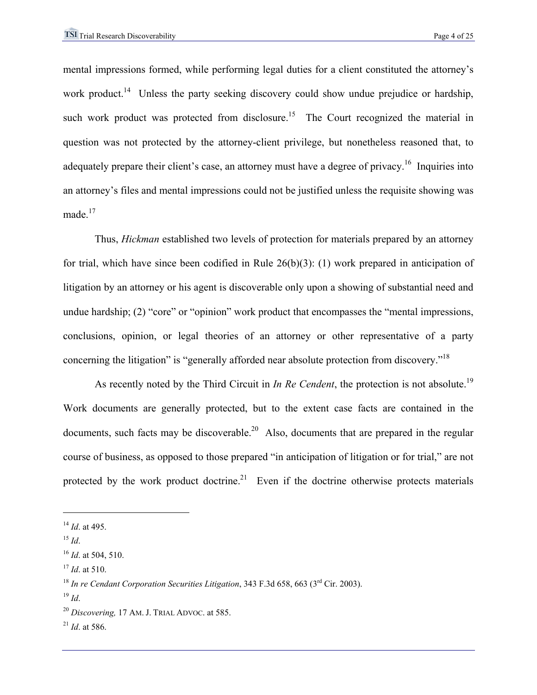mental impressions formed, while performing legal duties for a client constituted the attorney's work product.<sup>14</sup> Unless the party seeking discovery could show undue prejudice or hardship, such work product was protected from disclosure.<sup>15</sup> The Court recognized the material in question was not protected by the attorney-client privilege, but nonetheless reasoned that, to adequately prepare their client's case, an attorney must have a degree of privacy.<sup>16</sup> Inquiries into an attorney's files and mental impressions could not be justified unless the requisite showing was made.<sup>17</sup>

 Thus, *Hickman* established two levels of protection for materials prepared by an attorney for trial, which have since been codified in Rule 26(b)(3): (1) work prepared in anticipation of litigation by an attorney or his agent is discoverable only upon a showing of substantial need and undue hardship; (2) "core" or "opinion" work product that encompasses the "mental impressions, conclusions, opinion, or legal theories of an attorney or other representative of a party concerning the litigation" is "generally afforded near absolute protection from discovery."18

As recently noted by the Third Circuit in *In Re Cendent*, the protection is not absolute.<sup>19</sup> Work documents are generally protected, but to the extent case facts are contained in the documents, such facts may be discoverable.<sup>20</sup> Also, documents that are prepared in the regular course of business, as opposed to those prepared "in anticipation of litigation or for trial," are not protected by the work product doctrine.<sup>21</sup> Even if the doctrine otherwise protects materials

<sup>14</sup> *Id*. at 495.

 $^{15}$  *Id*.

<sup>16</sup> *Id*. at 504, 510.

<sup>17</sup> *Id*. at 510.

<sup>&</sup>lt;sup>18</sup> In re Cendant Corporation Securities Litigation, 343 F.3d 658, 663 (3<sup>rd</sup> Cir. 2003).

 $19$  *Id*.

<sup>20</sup> *Discovering,* 17 AM. J. TRIAL ADVOC. at 585.

<sup>21</sup> *Id*. at 586.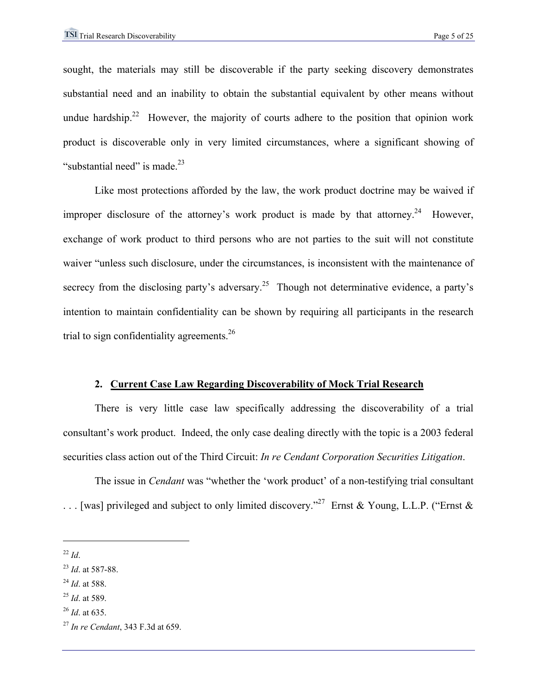sought, the materials may still be discoverable if the party seeking discovery demonstrates substantial need and an inability to obtain the substantial equivalent by other means without undue hardship.<sup>22</sup> However, the majority of courts adhere to the position that opinion work product is discoverable only in very limited circumstances, where a significant showing of "substantial need" is made. $^{23}$ 

 Like most protections afforded by the law, the work product doctrine may be waived if improper disclosure of the attorney's work product is made by that attorney.<sup>24</sup> However, exchange of work product to third persons who are not parties to the suit will not constitute waiver "unless such disclosure, under the circumstances, is inconsistent with the maintenance of secrecy from the disclosing party's adversary.<sup>25</sup> Though not determinative evidence, a party's intention to maintain confidentiality can be shown by requiring all participants in the research trial to sign confidentiality agreements.<sup>26</sup>

#### **2. Current Case Law Regarding Discoverability of Mock Trial Research**

 There is very little case law specifically addressing the discoverability of a trial consultant's work product. Indeed, the only case dealing directly with the topic is a 2003 federal securities class action out of the Third Circuit: *In re Cendant Corporation Securities Litigation*.

The issue in *Cendant* was "whether the 'work product' of a non-testifying trial consultant . . . [was] privileged and subject to only limited discovery."27 Ernst & Young, L.L.P. ("Ernst &

 $\overline{a}$ 

<sup>24</sup> *Id*. at 588.

<sup>26</sup> *Id*. at 635.

 $^{22}$  *Id*.

<sup>23</sup> *Id*. at 587-88.

<sup>25</sup> *Id*. at 589.

<sup>27</sup> *In re Cendant*, 343 F.3d at 659.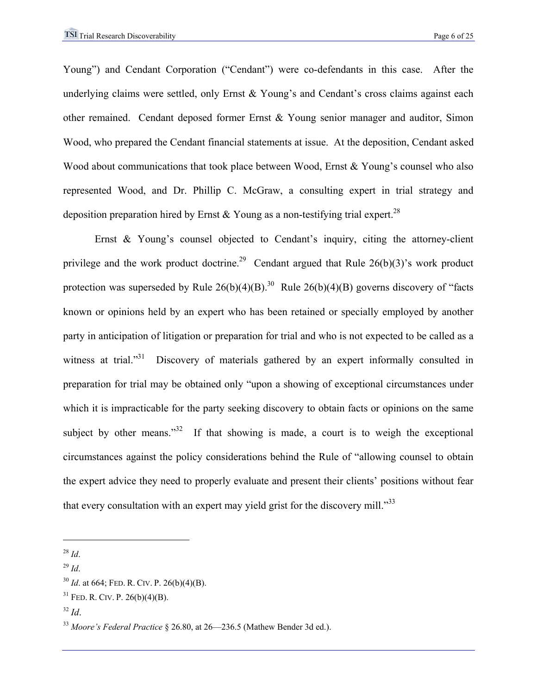Young") and Cendant Corporation ("Cendant") were co-defendants in this case. After the underlying claims were settled, only Ernst & Young's and Cendant's cross claims against each other remained. Cendant deposed former Ernst & Young senior manager and auditor, Simon Wood, who prepared the Cendant financial statements at issue. At the deposition, Cendant asked Wood about communications that took place between Wood, Ernst & Young's counsel who also represented Wood, and Dr. Phillip C. McGraw, a consulting expert in trial strategy and deposition preparation hired by Ernst & Young as a non-testifying trial expert.<sup>28</sup>

Ernst & Young's counsel objected to Cendant's inquiry, citing the attorney-client privilege and the work product doctrine.<sup>29</sup> Cendant argued that Rule  $26(b)(3)$ 's work product protection was superseded by Rule  $26(b)(4)(B)$ .<sup>30</sup> Rule  $26(b)(4)(B)$  governs discovery of "facts" known or opinions held by an expert who has been retained or specially employed by another party in anticipation of litigation or preparation for trial and who is not expected to be called as a witness at trial."<sup>31</sup> Discovery of materials gathered by an expert informally consulted in preparation for trial may be obtained only "upon a showing of exceptional circumstances under which it is impracticable for the party seeking discovery to obtain facts or opinions on the same subject by other means." $32$  If that showing is made, a court is to weigh the exceptional circumstances against the policy considerations behind the Rule of "allowing counsel to obtain the expert advice they need to properly evaluate and present their clients' positions without fear that every consultation with an expert may yield grist for the discovery mill."<sup>33</sup>

<sup>28</sup> *Id*.

 $^{29}$  *Id*.

<sup>30</sup> *Id*. at 664; FED. R. CIV. P. 26(b)(4)(B).

 $31$  FED. R. CIV. P. 26(b)(4)(B).

<sup>32</sup> *Id*.

<sup>&</sup>lt;sup>33</sup> Moore's Federal Practice § 26.80, at 26—236.5 (Mathew Bender 3d ed.).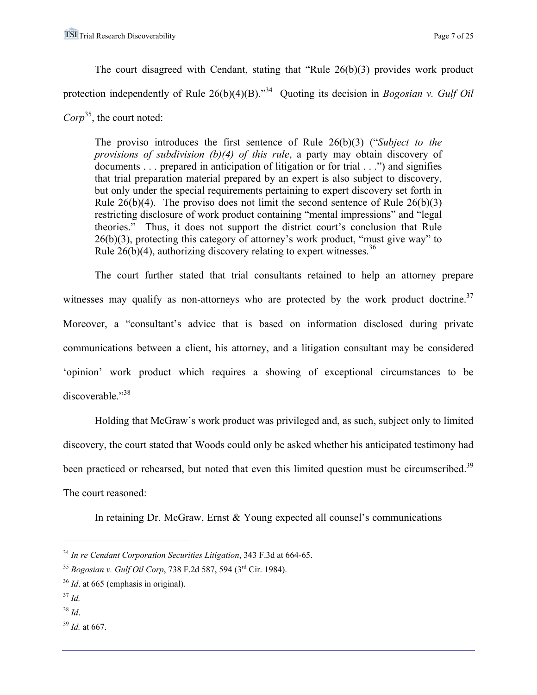The court disagreed with Cendant, stating that "Rule 26(b)(3) provides work product protection independently of Rule 26(b)(4)(B).<sup>34</sup> Quoting its decision in *Bogosian v. Gulf Oil Corp*35, the court noted:

The proviso introduces the first sentence of Rule 26(b)(3) ("*Subject to the provisions of subdivision (b)(4) of this rule*, a party may obtain discovery of documents  $\ldots$  prepared in anticipation of litigation or for trial  $\ldots$ ") and signifies that trial preparation material prepared by an expert is also subject to discovery, but only under the special requirements pertaining to expert discovery set forth in Rule  $26(b)(4)$ . The proviso does not limit the second sentence of Rule  $26(b)(3)$ restricting disclosure of work product containing "mental impressions" and "legal theories." Thus, it does not support the district court's conclusion that Rule  $26(b)(3)$ , protecting this category of attorney's work product, "must give way" to Rule  $26(b)(4)$ , authorizing discovery relating to expert witnesses.<sup>36</sup>

 The court further stated that trial consultants retained to help an attorney prepare witnesses may qualify as non-attorneys who are protected by the work product doctrine.<sup>37</sup> Moreover, a "consultant's advice that is based on information disclosed during private communications between a client, his attorney, and a litigation consultant may be considered 'opinion' work product which requires a showing of exceptional circumstances to be discoverable."38

 Holding that McGraw's work product was privileged and, as such, subject only to limited discovery, the court stated that Woods could only be asked whether his anticipated testimony had been practiced or rehearsed, but noted that even this limited question must be circumscribed.<sup>39</sup> The court reasoned:

In retaining Dr. McGraw, Ernst & Young expected all counsel's communications

<u>.</u>

<sup>38</sup> *Id*.

<sup>39</sup> *Id.* at 667.

<sup>34</sup> *In re Cendant Corporation Securities Litigation*, 343 F.3d at 664-65.

<sup>35</sup> *Bogosian v. Gulf Oil Corp*, 738 F.2d 587, 594 (3rd Cir. 1984).

<sup>36</sup> *Id*. at 665 (emphasis in original).

<sup>37</sup> *Id.*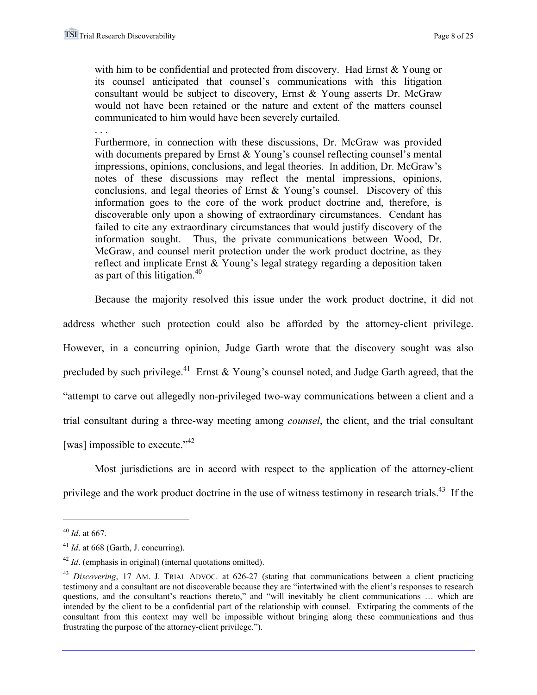. . .

with him to be confidential and protected from discovery. Had Ernst & Young or its counsel anticipated that counsel's communications with this litigation consultant would be subject to discovery, Ernst & Young asserts Dr. McGraw would not have been retained or the nature and extent of the matters counsel communicated to him would have been severely curtailed.

Furthermore, in connection with these discussions, Dr. McGraw was provided with documents prepared by Ernst & Young's counsel reflecting counsel's mental impressions, opinions, conclusions, and legal theories. In addition, Dr. McGraw's notes of these discussions may reflect the mental impressions, opinions, conclusions, and legal theories of Ernst & Young's counsel. Discovery of this information goes to the core of the work product doctrine and, therefore, is discoverable only upon a showing of extraordinary circumstances. Cendant has failed to cite any extraordinary circumstances that would justify discovery of the information sought. Thus, the private communications between Wood, Dr. McGraw, and counsel merit protection under the work product doctrine, as they reflect and implicate Ernst & Young's legal strategy regarding a deposition taken as part of this litigation.<sup>40</sup>

 Because the majority resolved this issue under the work product doctrine, it did not address whether such protection could also be afforded by the attorney-client privilege. However, in a concurring opinion, Judge Garth wrote that the discovery sought was also precluded by such privilege.<sup>41</sup> Ernst & Young's counsel noted, and Judge Garth agreed, that the "attempt to carve out allegedly non-privileged two-way communications between a client and a trial consultant during a three-way meeting among *counsel*, the client, and the trial consultant [was] impossible to execute."<sup>42</sup>

 Most jurisdictions are in accord with respect to the application of the attorney-client privilege and the work product doctrine in the use of witness testimony in research trials.<sup>43</sup> If the

<sup>40</sup> *Id*. at 667.

<sup>41</sup> *Id*. at 668 (Garth, J. concurring).

<sup>42</sup> *Id*. (emphasis in original) (internal quotations omitted).

<sup>43</sup> *Discovering*, 17 AM. J. TRIAL ADVOC. at 626-27 (stating that communications between a client practicing testimony and a consultant are not discoverable because they are "intertwined with the client's responses to research questions, and the consultant's reactions thereto," and "will inevitably be client communications … which are intended by the client to be a confidential part of the relationship with counsel. Extirpating the comments of the consultant from this context may well be impossible without bringing along these communications and thus frustrating the purpose of the attorney-client privilege.").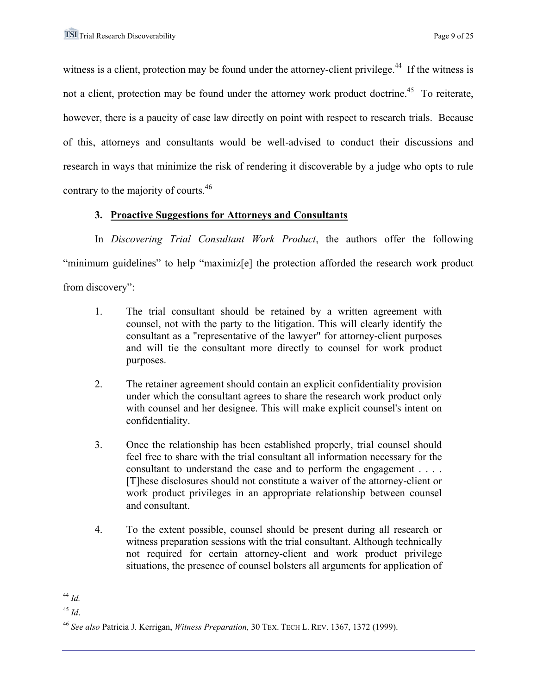witness is a client, protection may be found under the attorney-client privilege.<sup>44</sup> If the witness is not a client, protection may be found under the attorney work product doctrine.<sup>45</sup> To reiterate, however, there is a paucity of case law directly on point with respect to research trials. Because of this, attorneys and consultants would be well-advised to conduct their discussions and research in ways that minimize the risk of rendering it discoverable by a judge who opts to rule contrary to the majority of courts.<sup>46</sup>

# **3. Proactive Suggestions for Attorneys and Consultants**

In *Discovering Trial Consultant Work Product*, the authors offer the following "minimum guidelines" to help "maximiz[e] the protection afforded the research work product from discovery":

- 1. The trial consultant should be retained by a written agreement with counsel, not with the party to the litigation. This will clearly identify the consultant as a "representative of the lawyer" for attorney-client purposes and will tie the consultant more directly to counsel for work product purposes.
- 2. The retainer agreement should contain an explicit confidentiality provision under which the consultant agrees to share the research work product only with counsel and her designee. This will make explicit counsel's intent on confidentiality.
- 3. Once the relationship has been established properly, trial counsel should feel free to share with the trial consultant all information necessary for the consultant to understand the case and to perform the engagement . . . . [T]hese disclosures should not constitute a waiver of the attorney-client or work product privileges in an appropriate relationship between counsel and consultant.
- 4. To the extent possible, counsel should be present during all research or witness preparation sessions with the trial consultant. Although technically not required for certain attorney-client and work product privilege situations, the presence of counsel bolsters all arguments for application of

<sup>44</sup> *Id.*

<sup>45</sup> *Id*.

<sup>46</sup> *See also* Patricia J. Kerrigan, *Witness Preparation,* 30 TEX. TECH L. REV. 1367, 1372 (1999).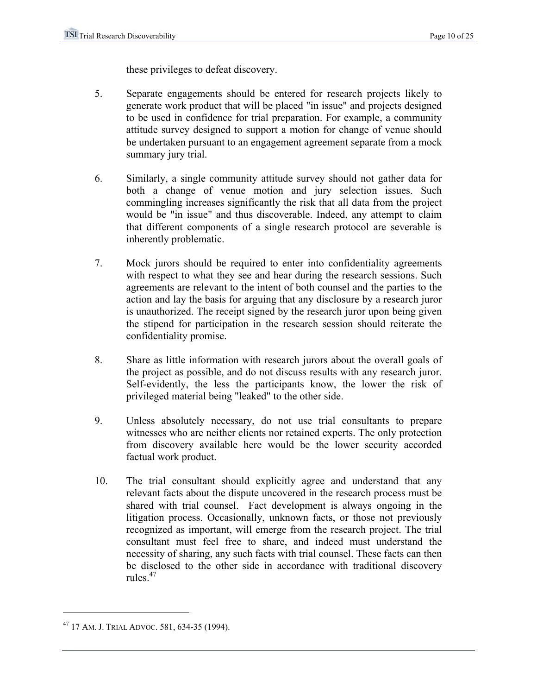these privileges to defeat discovery.

- 5. Separate engagements should be entered for research projects likely to generate work product that will be placed "in issue" and projects designed to be used in confidence for trial preparation. For example, a community attitude survey designed to support a motion for change of venue should be undertaken pursuant to an engagement agreement separate from a mock summary jury trial.
- 6. Similarly, a single community attitude survey should not gather data for both a change of venue motion and jury selection issues. Such commingling increases significantly the risk that all data from the project would be "in issue" and thus discoverable. Indeed, any attempt to claim that different components of a single research protocol are severable is inherently problematic.
- 7. Mock jurors should be required to enter into confidentiality agreements with respect to what they see and hear during the research sessions. Such agreements are relevant to the intent of both counsel and the parties to the action and lay the basis for arguing that any disclosure by a research juror is unauthorized. The receipt signed by the research juror upon being given the stipend for participation in the research session should reiterate the confidentiality promise.
- 8. Share as little information with research jurors about the overall goals of the project as possible, and do not discuss results with any research juror. Self-evidently, the less the participants know, the lower the risk of privileged material being "leaked" to the other side.
- 9. Unless absolutely necessary, do not use trial consultants to prepare witnesses who are neither clients nor retained experts. The only protection from discovery available here would be the lower security accorded factual work product.
- 10. The trial consultant should explicitly agree and understand that any relevant facts about the dispute uncovered in the research process must be shared with trial counsel. Fact development is always ongoing in the litigation process. Occasionally, unknown facts, or those not previously recognized as important, will emerge from the research project. The trial consultant must feel free to share, and indeed must understand the necessity of sharing, any such facts with trial counsel. These facts can then be disclosed to the other side in accordance with traditional discovery rules<sup>47</sup>

<sup>47 17</sup> AM. J. TRIAL ADVOC. 581, 634-35 (1994).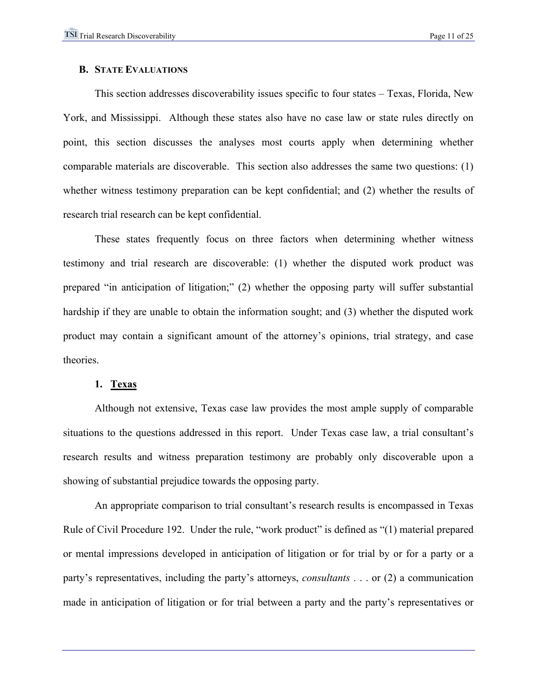#### **B. STATE EVALUATIONS**

 This section addresses discoverability issues specific to four states – Texas, Florida, New York, and Mississippi. Although these states also have no case law or state rules directly on point, this section discusses the analyses most courts apply when determining whether comparable materials are discoverable. This section also addresses the same two questions: (1) whether witness testimony preparation can be kept confidential; and (2) whether the results of research trial research can be kept confidential.

These states frequently focus on three factors when determining whether witness testimony and trial research are discoverable: (1) whether the disputed work product was prepared "in anticipation of litigation;" (2) whether the opposing party will suffer substantial hardship if they are unable to obtain the information sought; and (3) whether the disputed work product may contain a significant amount of the attorney's opinions, trial strategy, and case theories.

#### **1. Texas**

Although not extensive, Texas case law provides the most ample supply of comparable situations to the questions addressed in this report. Under Texas case law, a trial consultant's research results and witness preparation testimony are probably only discoverable upon a showing of substantial prejudice towards the opposing party.

An appropriate comparison to trial consultant's research results is encompassed in Texas Rule of Civil Procedure 192. Under the rule, "work product" is defined as "(1) material prepared or mental impressions developed in anticipation of litigation or for trial by or for a party or a party's representatives, including the party's attorneys, *consultants* . . . or (2) a communication made in anticipation of litigation or for trial between a party and the party's representatives or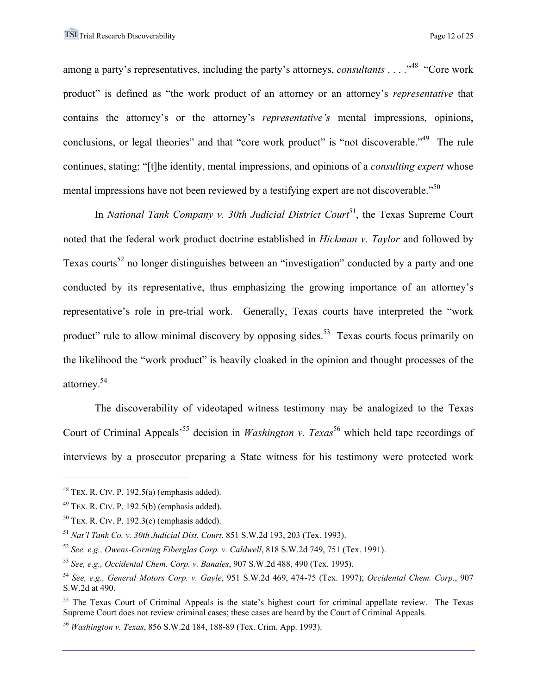among a party's representatives, including the party's attorneys, *consultants* . . . . "<sup>48</sup> "Core work" product" is defined as "the work product of an attorney or an attorney's *representative* that contains the attorney's or the attorney's *representative's* mental impressions, opinions, conclusions, or legal theories" and that "core work product" is "not discoverable."<sup>49</sup> The rule continues, stating: "[t]he identity, mental impressions, and opinions of a *consulting expert* whose mental impressions have not been reviewed by a testifying expert are not discoverable."<sup>50</sup>

In *National Tank Company v. 30th Judicial District Court*<sup>51</sup>, the Texas Supreme Court noted that the federal work product doctrine established in *Hickman v. Taylor* and followed by Texas courts<sup>52</sup> no longer distinguishes between an "investigation" conducted by a party and one conducted by its representative, thus emphasizing the growing importance of an attorney's representative's role in pre-trial work. Generally, Texas courts have interpreted the "work product" rule to allow minimal discovery by opposing sides.<sup>53</sup> Texas courts focus primarily on the likelihood the "work product" is heavily cloaked in the opinion and thought processes of the attorney.54

The discoverability of videotaped witness testimony may be analogized to the Texas Court of Criminal Appeals<sup>55</sup> decision in *Washington v. Texas*<sup>56</sup> which held tape recordings of interviews by a prosecutor preparing a State witness for his testimony were protected work

 $48$  TEX. R. CIV. P. 192.5(a) (emphasis added).

 $49$  TEX. R. CIV. P. 192.5(b) (emphasis added).

 $50$  TEX. R. CIV. P. 192.3(e) (emphasis added).

<sup>51</sup> *Nat'l Tank Co. v. 30th Judicial Dist. Court*, 851 S.W.2d 193, 203 (Tex. 1993).

<sup>52</sup> *See, e.g., Owens-Corning Fiberglas Corp. v. Caldwell*, 818 S.W.2d 749, 751 (Tex. 1991).

<sup>53</sup> *See, e.g., Occidental Chem. Corp. v. Banales*, 907 S.W.2d 488, 490 (Tex. 1995).

<sup>54</sup> *See, e.g., General Motors Corp. v. Gayle*, 951 S.W.2d 469, 474-75 (Tex. 1997); *Occidental Chem. Corp.*, 907 S.W.2d at 490.

 $55$  The Texas Court of Criminal Appeals is the state's highest court for criminal appellate review. The Texas Supreme Court does not review criminal cases; these cases are heard by the Court of Criminal Appeals.

<sup>56</sup> *Washington v. Texas*, 856 S.W.2d 184, 188-89 (Tex. Crim. App. 1993).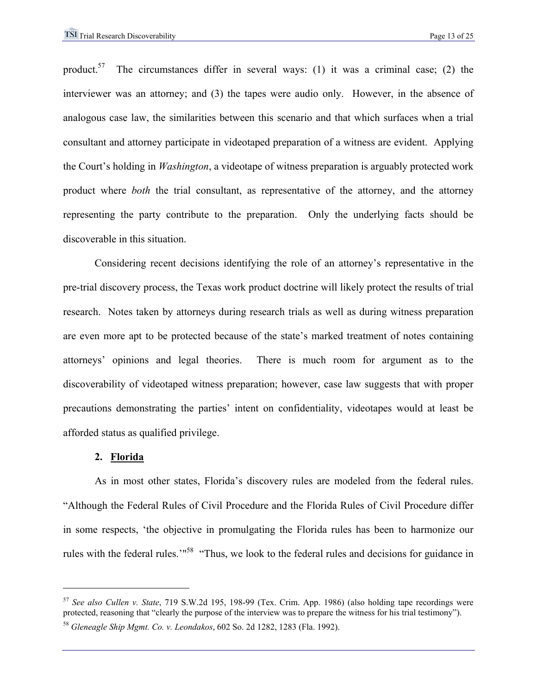product.<sup>57</sup> The circumstances differ in several ways: (1) it was a criminal case; (2) the interviewer was an attorney; and (3) the tapes were audio only. However, in the absence of analogous case law, the similarities between this scenario and that which surfaces when a trial consultant and attorney participate in videotaped preparation of a witness are evident. Applying the Court's holding in *Washington*, a videotape of witness preparation is arguably protected work product where *both* the trial consultant, as representative of the attorney, and the attorney representing the party contribute to the preparation. Only the underlying facts should be discoverable in this situation.

Considering recent decisions identifying the role of an attorney's representative in the pre-trial discovery process, the Texas work product doctrine will likely protect the results of trial research. Notes taken by attorneys during research trials as well as during witness preparation are even more apt to be protected because of the state's marked treatment of notes containing attorneys' opinions and legal theories. There is much room for argument as to the discoverability of videotaped witness preparation; however, case law suggests that with proper precautions demonstrating the parties' intent on confidentiality, videotapes would at least be afforded status as qualified privilege.

#### **2. Florida**

 $\overline{a}$ 

As in most other states, Florida's discovery rules are modeled from the federal rules. "Although the Federal Rules of Civil Procedure and the Florida Rules of Civil Procedure differ in some respects, 'the objective in promulgating the Florida rules has been to harmonize our rules with the federal rules.'"58 "Thus, we look to the federal rules and decisions for guidance in

<sup>57</sup> *See also Cullen v. State*, 719 S.W.2d 195, 198-99 (Tex. Crim. App. 1986) (also holding tape recordings were protected, reasoning that "clearly the purpose of the interview was to prepare the witness for his trial testimony").

<sup>58</sup> *Gleneagle Ship Mgmt. Co. v. Leondakos*, 602 So. 2d 1282, 1283 (Fla. 1992).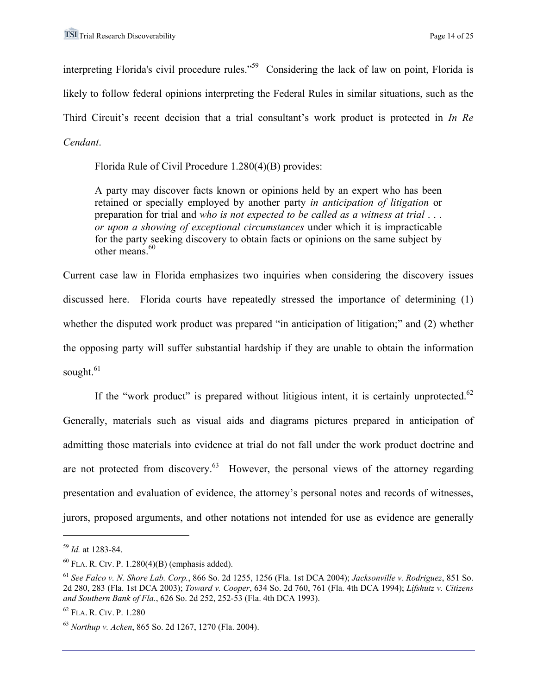interpreting Florida's civil procedure rules."59 Considering the lack of law on point, Florida is likely to follow federal opinions interpreting the Federal Rules in similar situations, such as the Third Circuit's recent decision that a trial consultant's work product is protected in *In Re Cendant*.

Florida Rule of Civil Procedure 1.280(4)(B) provides:

A party may discover facts known or opinions held by an expert who has been retained or specially employed by another party *in anticipation of litigation* or preparation for trial and *who is not expected to be called as a witness at trial* . . . *or upon a showing of exceptional circumstances* under which it is impracticable for the party seeking discovery to obtain facts or opinions on the same subject by other means.  $60$ 

Current case law in Florida emphasizes two inquiries when considering the discovery issues discussed here. Florida courts have repeatedly stressed the importance of determining (1) whether the disputed work product was prepared "in anticipation of litigation;" and (2) whether the opposing party will suffer substantial hardship if they are unable to obtain the information sought. $61$ 

If the "work product" is prepared without litigious intent, it is certainly unprotected.<sup>62</sup> Generally, materials such as visual aids and diagrams pictures prepared in anticipation of admitting those materials into evidence at trial do not fall under the work product doctrine and are not protected from discovery. $63$  However, the personal views of the attorney regarding presentation and evaluation of evidence, the attorney's personal notes and records of witnesses, jurors, proposed arguments, and other notations not intended for use as evidence are generally

<u>.</u>

<sup>59</sup> *Id.* at 1283-84.

 $^{60}$  FLA. R. CIV. P. 1.280(4)(B) (emphasis added).

<sup>61</sup> *See Falco v. N. Shore Lab. Corp.*, 866 So. 2d 1255, 1256 (Fla. 1st DCA 2004); *Jacksonville v. Rodriguez*, 851 So. 2d 280, 283 (Fla. 1st DCA 2003); *Toward v. Cooper*, 634 So. 2d 760, 761 (Fla. 4th DCA 1994); *Lifshutz v. Citizens and Southern Bank of Fla.*, 626 So. 2d 252, 252-53 (Fla. 4th DCA 1993).

<sup>62</sup> FLA. R. CIV. P. 1.280

<sup>63</sup> *Northup v. Acken*, 865 So. 2d 1267, 1270 (Fla. 2004).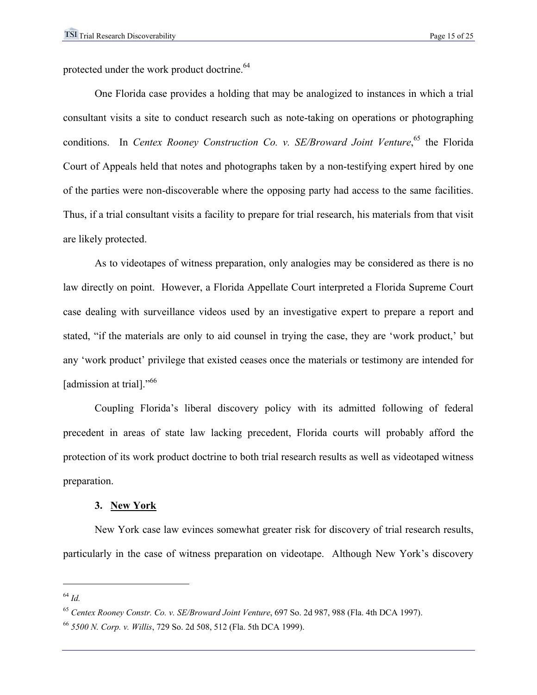protected under the work product doctrine.<sup>64</sup>

One Florida case provides a holding that may be analogized to instances in which a trial consultant visits a site to conduct research such as note-taking on operations or photographing conditions. In *Centex Rooney Construction Co. v. SE/Broward Joint Venture*,<sup>65</sup> the Florida Court of Appeals held that notes and photographs taken by a non-testifying expert hired by one of the parties were non-discoverable where the opposing party had access to the same facilities. Thus, if a trial consultant visits a facility to prepare for trial research, his materials from that visit are likely protected.

As to videotapes of witness preparation, only analogies may be considered as there is no law directly on point. However, a Florida Appellate Court interpreted a Florida Supreme Court case dealing with surveillance videos used by an investigative expert to prepare a report and stated, "if the materials are only to aid counsel in trying the case, they are 'work product,' but any 'work product' privilege that existed ceases once the materials or testimony are intended for [admission at trial]."<sup>66</sup>

Coupling Florida's liberal discovery policy with its admitted following of federal precedent in areas of state law lacking precedent, Florida courts will probably afford the protection of its work product doctrine to both trial research results as well as videotaped witness preparation.

#### **3. New York**

 New York case law evinces somewhat greater risk for discovery of trial research results, particularly in the case of witness preparation on videotape. Although New York's discovery

<sup>64</sup> *Id.*

<sup>65</sup> *Centex Rooney Constr. Co. v. SE/Broward Joint Venture*, 697 So. 2d 987, 988 (Fla. 4th DCA 1997).

<sup>66</sup> *5500 N. Corp. v. Willis*, 729 So. 2d 508, 512 (Fla. 5th DCA 1999).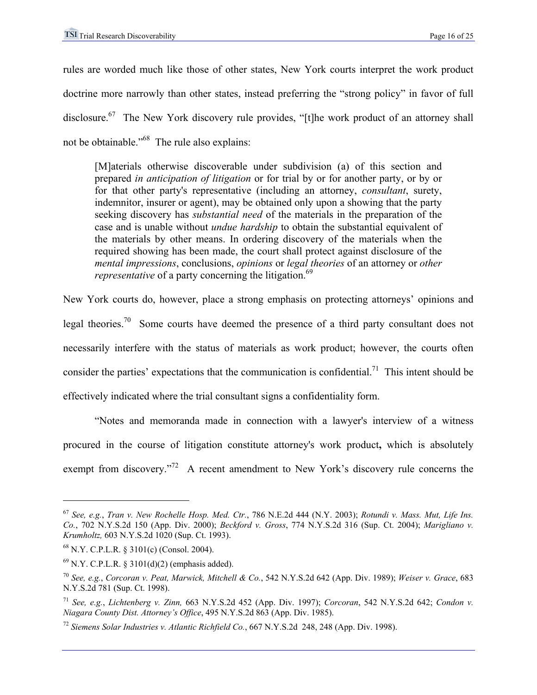rules are worded much like those of other states, New York courts interpret the work product doctrine more narrowly than other states, instead preferring the "strong policy" in favor of full disclosure.<sup>67</sup> The New York discovery rule provides, "[t]he work product of an attorney shall not be obtainable."68 The rule also explains:

[M]aterials otherwise discoverable under subdivision (a) of this section and prepared *in anticipation of litigation* or for trial by or for another party, or by or for that other party's representative (including an attorney, *consultant*, surety, indemnitor, insurer or agent), may be obtained only upon a showing that the party seeking discovery has *substantial need* of the materials in the preparation of the case and is unable without *undue hardship* to obtain the substantial equivalent of the materials by other means. In ordering discovery of the materials when the required showing has been made, the court shall protect against disclosure of the *mental impressions*, conclusions, *opinions* or *legal theories* of an attorney or *other representative* of a party concerning the litigation.<sup>69</sup>

New York courts do, however, place a strong emphasis on protecting attorneys' opinions and legal theories.70 Some courts have deemed the presence of a third party consultant does not necessarily interfere with the status of materials as work product; however, the courts often consider the parties' expectations that the communication is confidential.<sup>71</sup> This intent should be effectively indicated where the trial consultant signs a confidentiality form.

"Notes and memoranda made in connection with a lawyer's interview of a witness procured in the course of litigation constitute attorney's work product**,** which is absolutely exempt from discovery."<sup>72</sup> A recent amendment to New York's discovery rule concerns the

<sup>67</sup> *See, e.g.*, *Tran v. New Rochelle Hosp. Med. Ctr.*, 786 N.E.2d 444 (N.Y. 2003); *Rotundi v. Mass. Mut, Life Ins. Co.*, 702 N.Y.S.2d 150 (App. Div. 2000); *Beckford v. Gross*, 774 N.Y.S.2d 316 (Sup. Ct. 2004); *Marigliano v. Krumholtz,* 603 N.Y.S.2d 1020 (Sup. Ct. 1993).

<sup>68</sup> N.Y. C.P.L.R. § 3101(c) (Consol. 2004).

 $^{69}$  N.Y. C.P.L.R. § 3101(d)(2) (emphasis added).

<sup>70</sup> *See, e.g.*, *Corcoran v. Peat, Marwick, Mitchell & Co.*, 542 N.Y.S.2d 642 (App. Div. 1989); *Weiser v. Grace*, 683 N.Y.S.2d 781 (Sup. Ct. 1998).

<sup>71</sup> *See, e.g.*, *Lichtenberg v. Zinn,* 663 N.Y.S.2d 452 (App. Div. 1997); *Corcoran*, 542 N.Y.S.2d 642; *Condon v. Niagara County Dist. Attorney's Office*, 495 N.Y.S.2d 863 (App. Div. 1985).

<sup>72</sup> *Siemens Solar Industries v. Atlantic Richfield Co.*, 667 N.Y.S.2d 248, 248 (App. Div. 1998).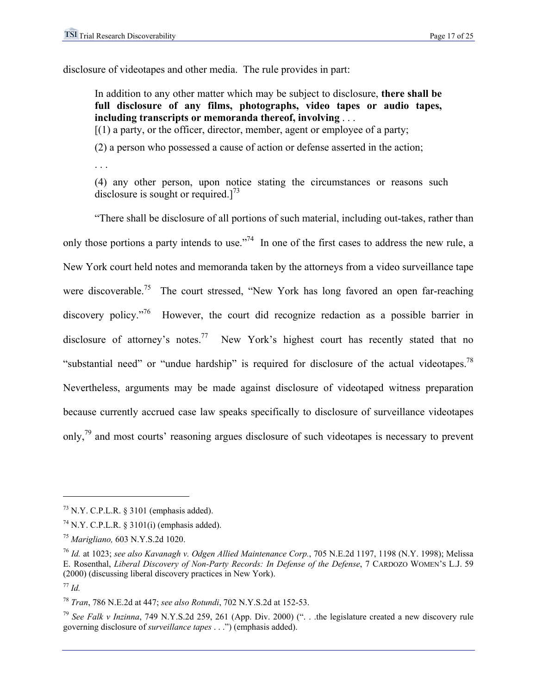disclosure of videotapes and other media. The rule provides in part:

In addition to any other matter which may be subject to disclosure, **there shall be full disclosure of any films, photographs, video tapes or audio tapes, including transcripts or memoranda thereof, involving** . . .

 $[(1)$  a party, or the officer, director, member, agent or employee of a party;

(2) a person who possessed a cause of action or defense asserted in the action;

. . .

(4) any other person, upon notice stating the circumstances or reasons such disclosure is sought or required. $1^{73}$ 

"There shall be disclosure of all portions of such material, including out-takes, rather than only those portions a party intends to use."<sup>74</sup> In one of the first cases to address the new rule, a New York court held notes and memoranda taken by the attorneys from a video surveillance tape were discoverable.<sup>75</sup> The court stressed, "New York has long favored an open far-reaching discovery policy.<sup>776</sup> However, the court did recognize redaction as a possible barrier in disclosure of attorney's notes.<sup>77</sup> New York's highest court has recently stated that no "substantial need" or "undue hardship" is required for disclosure of the actual videotapes.<sup>78</sup> Nevertheless, arguments may be made against disclosure of videotaped witness preparation because currently accrued case law speaks specifically to disclosure of surveillance videotapes only,79 and most courts' reasoning argues disclosure of such videotapes is necessary to prevent

1

<sup>78</sup> *Tran*, 786 N.E.2d at 447; *see also Rotundi*, 702 N.Y.S.2d at 152-53.

<sup>79</sup> *See Falk v Inzinna*, 749 N.Y.S.2d 259, 261 (App. Div. 2000) (". . .the legislature created a new discovery rule governing disclosure of *surveillance tapes* . . .") (emphasis added).

 $73$  N.Y. C.P.L.R. § 3101 (emphasis added).

 $74$  N.Y. C.P.L.R. § 3101(i) (emphasis added).

<sup>75</sup> *Marigliano,* 603 N.Y.S.2d 1020.

<sup>76</sup> *Id.* at 1023; *see also Kavanagh v. Odgen Allied Maintenance Corp.*, 705 N.E.2d 1197, 1198 (N.Y. 1998); Melissa E. Rosenthal, *Liberal Discovery of Non-Party Records: In Defense of the Defense*, 7 CARDOZO WOMEN'S L.J. 59 (2000) (discussing liberal discovery practices in New York).

<sup>77</sup> *Id.*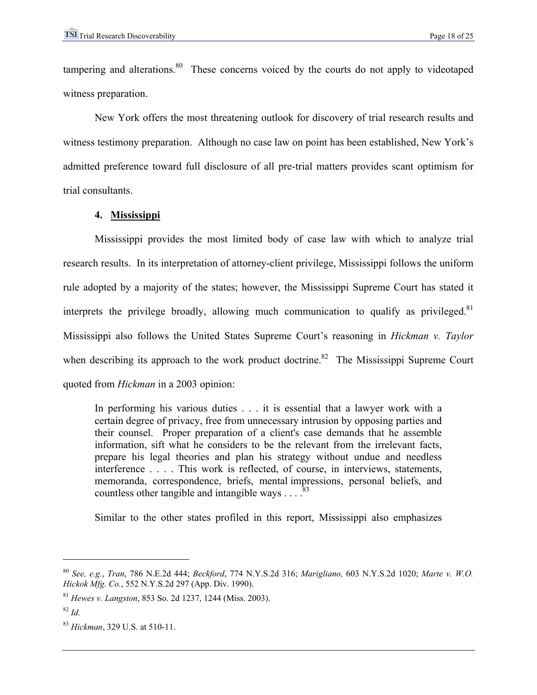tampering and alterations.<sup>80</sup> These concerns voiced by the courts do not apply to videotaped witness preparation.

New York offers the most threatening outlook for discovery of trial research results and witness testimony preparation. Although no case law on point has been established, New York's admitted preference toward full disclosure of all pre-trial matters provides scant optimism for trial consultants.

## **4. Mississippi**

Mississippi provides the most limited body of case law with which to analyze trial research results. In its interpretation of attorney-client privilege, Mississippi follows the uniform rule adopted by a majority of the states; however, the Mississippi Supreme Court has stated it interprets the privilege broadly, allowing much communication to qualify as privileged. $81$ Mississippi also follows the United States Supreme Court's reasoning in *Hickman v. Taylor* when describing its approach to the work product doctrine.<sup>82</sup> The Mississippi Supreme Court quoted from *Hickman* in a 2003 opinion:

In performing his various duties . . . it is essential that a lawyer work with a certain degree of privacy, free from unnecessary intrusion by opposing parties and their counsel. Proper preparation of a client's case demands that he assemble information, sift what he considers to be the relevant from the irrelevant facts, prepare his legal theories and plan his strategy without undue and needless interference . . . . This work is reflected, of course, in interviews, statements, memoranda, correspondence, briefs, mental impressions, personal beliefs, and countless other tangible and intangible ways  $\ldots$ 

Similar to the other states profiled in this report, Mississippi also emphasizes

<sup>80</sup> *See, e.g.*, *Tran*, 786 N.E.2d 444; *Beckford*, 774 N.Y.S.2d 316; *Marigliano,* 603 N.Y.S.2d 1020; *Marte v. W.O. Hickok Mfg. Co.*, 552 N.Y.S.2d 297 (App. Div. 1990).

<sup>81</sup> *Hewes v. Langston*, 853 So. 2d 1237, 1244 (Miss. 2003).

<sup>82</sup> *Id.*

<sup>83</sup> *Hickman*, 329 U.S. at 510-11.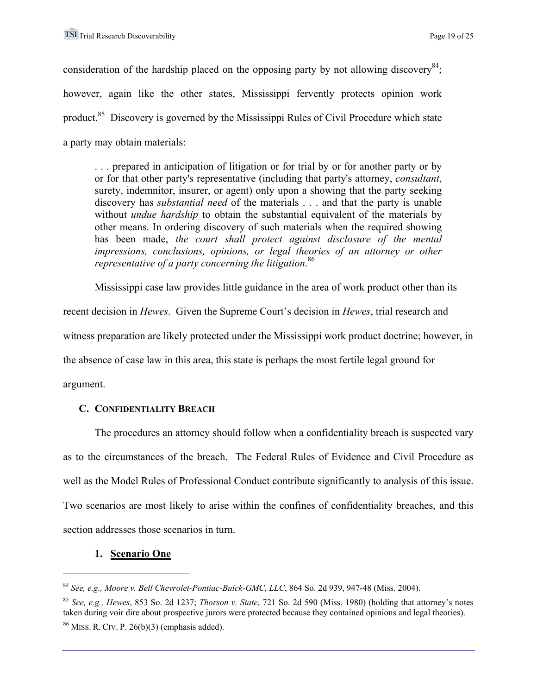consideration of the hardship placed on the opposing party by not allowing discovery<sup>84</sup>; however, again like the other states, Mississippi fervently protects opinion work product.85 Discovery is governed by the Mississippi Rules of Civil Procedure which state a party may obtain materials:

. . . prepared in anticipation of litigation or for trial by or for another party or by or for that other party's representative (including that party's attorney, *consultant*, surety, indemnitor, insurer, or agent) only upon a showing that the party seeking discovery has *substantial need* of the materials . . . and that the party is unable without *undue hardship* to obtain the substantial equivalent of the materials by other means. In ordering discovery of such materials when the required showing has been made, *the court shall protect against disclosure of the mental impressions, conclusions, opinions, or legal theories of an attorney or other representative of a party concerning the litigation*. 86

 Mississippi case law provides little guidance in the area of work product other than its recent decision in *Hewes*. Given the Supreme Court's decision in *Hewes*, trial research and witness preparation are likely protected under the Mississippi work product doctrine; however, in the absence of case law in this area, this state is perhaps the most fertile legal ground for argument.

# **C. CONFIDENTIALITY BREACH**

The procedures an attorney should follow when a confidentiality breach is suspected vary as to the circumstances of the breach. The Federal Rules of Evidence and Civil Procedure as well as the Model Rules of Professional Conduct contribute significantly to analysis of this issue. Two scenarios are most likely to arise within the confines of confidentiality breaches, and this section addresses those scenarios in turn.

# **1. Scenario One**

<sup>84</sup> *See, e.g., Moore v. Bell Chevrolet-Pontiac-Buick-GMC, LLC*, 864 So. 2d 939, 947-48 (Miss. 2004).

<sup>85</sup> *See, e.g., Hewes*, 853 So. 2d 1237; *Thorson v. State*, 721 So. 2d 590 (Miss. 1980) (holding that attorney's notes taken during voir dire about prospective jurors were protected because they contained opinions and legal theories).  $86$  MISS. R. CIV. P. 26(b)(3) (emphasis added).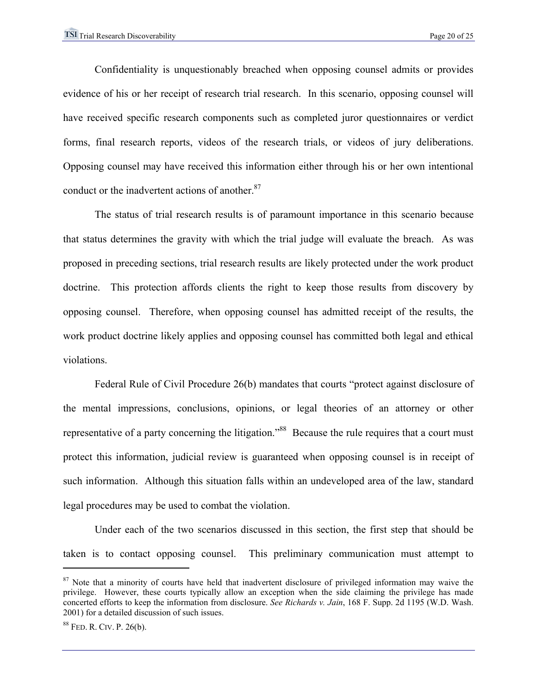Confidentiality is unquestionably breached when opposing counsel admits or provides evidence of his or her receipt of research trial research. In this scenario, opposing counsel will have received specific research components such as completed juror questionnaires or verdict forms, final research reports, videos of the research trials, or videos of jury deliberations. Opposing counsel may have received this information either through his or her own intentional conduct or the inadvertent actions of another.<sup>87</sup>

The status of trial research results is of paramount importance in this scenario because that status determines the gravity with which the trial judge will evaluate the breach. As was proposed in preceding sections, trial research results are likely protected under the work product doctrine. This protection affords clients the right to keep those results from discovery by opposing counsel. Therefore, when opposing counsel has admitted receipt of the results, the work product doctrine likely applies and opposing counsel has committed both legal and ethical violations.

Federal Rule of Civil Procedure 26(b) mandates that courts "protect against disclosure of the mental impressions, conclusions, opinions, or legal theories of an attorney or other representative of a party concerning the litigation."<sup>88</sup> Because the rule requires that a court must protect this information, judicial review is guaranteed when opposing counsel is in receipt of such information. Although this situation falls within an undeveloped area of the law, standard legal procedures may be used to combat the violation.

Under each of the two scenarios discussed in this section, the first step that should be taken is to contact opposing counsel. This preliminary communication must attempt to

<u>.</u>

<sup>&</sup>lt;sup>87</sup> Note that a minority of courts have held that inadvertent disclosure of privileged information may waive the privilege. However, these courts typically allow an exception when the side claiming the privilege has made concerted efforts to keep the information from disclosure. *See Richards v. Jain*, 168 F. Supp. 2d 1195 (W.D. Wash. 2001) for a detailed discussion of such issues.

<sup>88</sup> FED. R. CIV. P. 26(b).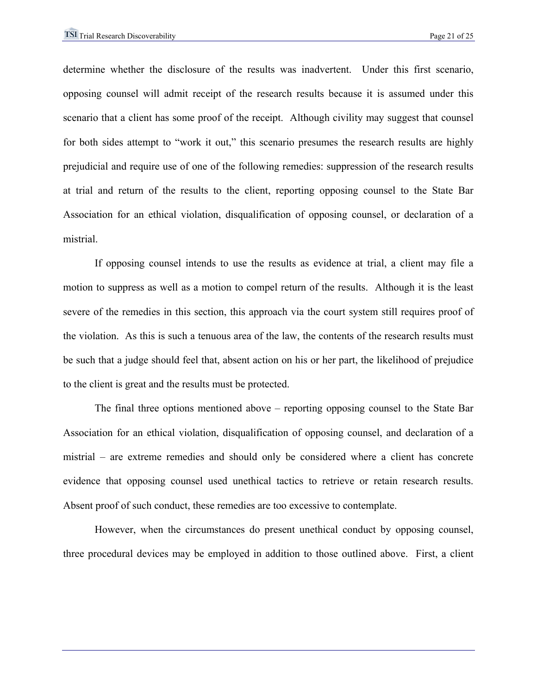determine whether the disclosure of the results was inadvertent. Under this first scenario, opposing counsel will admit receipt of the research results because it is assumed under this scenario that a client has some proof of the receipt. Although civility may suggest that counsel for both sides attempt to "work it out," this scenario presumes the research results are highly prejudicial and require use of one of the following remedies: suppression of the research results at trial and return of the results to the client, reporting opposing counsel to the State Bar Association for an ethical violation, disqualification of opposing counsel, or declaration of a mistrial.

If opposing counsel intends to use the results as evidence at trial, a client may file a motion to suppress as well as a motion to compel return of the results. Although it is the least severe of the remedies in this section, this approach via the court system still requires proof of the violation. As this is such a tenuous area of the law, the contents of the research results must be such that a judge should feel that, absent action on his or her part, the likelihood of prejudice to the client is great and the results must be protected.

The final three options mentioned above – reporting opposing counsel to the State Bar Association for an ethical violation, disqualification of opposing counsel, and declaration of a mistrial – are extreme remedies and should only be considered where a client has concrete evidence that opposing counsel used unethical tactics to retrieve or retain research results. Absent proof of such conduct, these remedies are too excessive to contemplate.

However, when the circumstances do present unethical conduct by opposing counsel, three procedural devices may be employed in addition to those outlined above. First, a client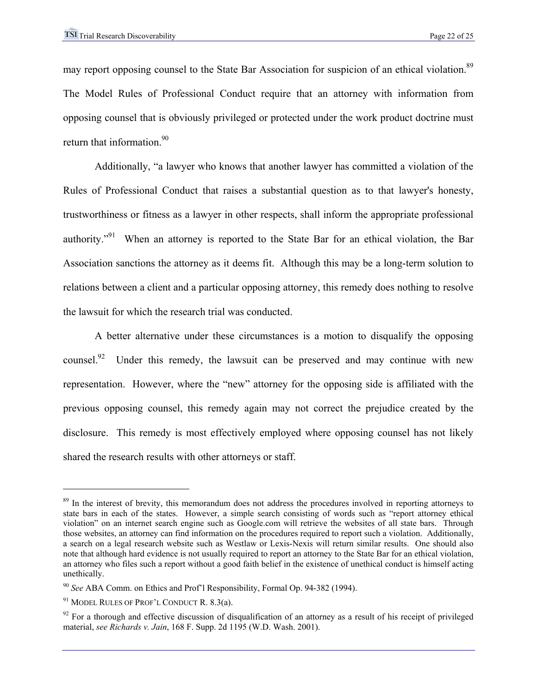may report opposing counsel to the State Bar Association for suspicion of an ethical violation.<sup>89</sup> The Model Rules of Professional Conduct require that an attorney with information from opposing counsel that is obviously privileged or protected under the work product doctrine must return that information.<sup>90</sup>

Additionally, "a lawyer who knows that another lawyer has committed a violation of the Rules of Professional Conduct that raises a substantial question as to that lawyer's honesty, trustworthiness or fitness as a lawyer in other respects, shall inform the appropriate professional authority."<sup>91</sup> When an attorney is reported to the State Bar for an ethical violation, the Bar Association sanctions the attorney as it deems fit. Although this may be a long-term solution to relations between a client and a particular opposing attorney, this remedy does nothing to resolve the lawsuit for which the research trial was conducted.

A better alternative under these circumstances is a motion to disqualify the opposing counsel.<sup>92</sup> Under this remedy, the lawsuit can be preserved and may continue with new representation. However, where the "new" attorney for the opposing side is affiliated with the previous opposing counsel, this remedy again may not correct the prejudice created by the disclosure. This remedy is most effectively employed where opposing counsel has not likely shared the research results with other attorneys or staff.

1

<sup>&</sup>lt;sup>89</sup> In the interest of brevity, this memorandum does not address the procedures involved in reporting attorneys to state bars in each of the states. However, a simple search consisting of words such as "report attorney ethical violation" on an internet search engine such as Google.com will retrieve the websites of all state bars. Through those websites, an attorney can find information on the procedures required to report such a violation. Additionally, a search on a legal research website such as Westlaw or Lexis-Nexis will return similar results. One should also note that although hard evidence is not usually required to report an attorney to the State Bar for an ethical violation, an attorney who files such a report without a good faith belief in the existence of unethical conduct is himself acting unethically.

<sup>90</sup> *See* ABA Comm. on Ethics and Prof'l Responsibility, Formal Op. 94-382 (1994).

<sup>&</sup>lt;sup>91</sup> MODEL RULES OF PROF'L CONDUCT R. 8.3(a).

 $92$  For a thorough and effective discussion of disqualification of an attorney as a result of his receipt of privileged material, *see Richards v. Jain*, 168 F. Supp. 2d 1195 (W.D. Wash. 2001).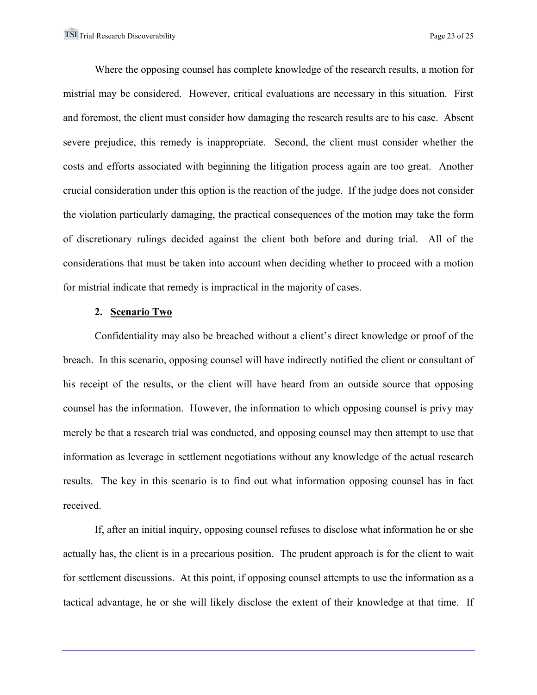Where the opposing counsel has complete knowledge of the research results, a motion for mistrial may be considered. However, critical evaluations are necessary in this situation. First and foremost, the client must consider how damaging the research results are to his case. Absent severe prejudice, this remedy is inappropriate. Second, the client must consider whether the costs and efforts associated with beginning the litigation process again are too great. Another crucial consideration under this option is the reaction of the judge. If the judge does not consider the violation particularly damaging, the practical consequences of the motion may take the form of discretionary rulings decided against the client both before and during trial. All of the considerations that must be taken into account when deciding whether to proceed with a motion for mistrial indicate that remedy is impractical in the majority of cases.

#### **2. Scenario Two**

Confidentiality may also be breached without a client's direct knowledge or proof of the breach. In this scenario, opposing counsel will have indirectly notified the client or consultant of his receipt of the results, or the client will have heard from an outside source that opposing counsel has the information. However, the information to which opposing counsel is privy may merely be that a research trial was conducted, and opposing counsel may then attempt to use that information as leverage in settlement negotiations without any knowledge of the actual research results. The key in this scenario is to find out what information opposing counsel has in fact received.

If, after an initial inquiry, opposing counsel refuses to disclose what information he or she actually has, the client is in a precarious position. The prudent approach is for the client to wait for settlement discussions. At this point, if opposing counsel attempts to use the information as a tactical advantage, he or she will likely disclose the extent of their knowledge at that time. If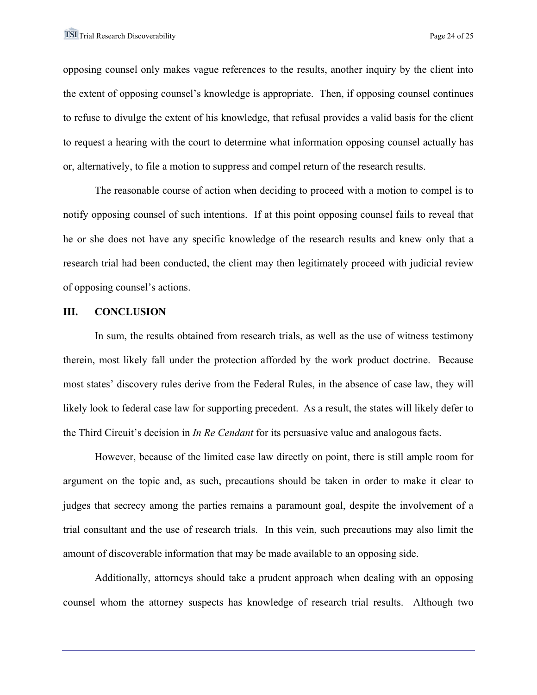opposing counsel only makes vague references to the results, another inquiry by the client into the extent of opposing counsel's knowledge is appropriate. Then, if opposing counsel continues to refuse to divulge the extent of his knowledge, that refusal provides a valid basis for the client to request a hearing with the court to determine what information opposing counsel actually has or, alternatively, to file a motion to suppress and compel return of the research results.

The reasonable course of action when deciding to proceed with a motion to compel is to notify opposing counsel of such intentions. If at this point opposing counsel fails to reveal that he or she does not have any specific knowledge of the research results and knew only that a research trial had been conducted, the client may then legitimately proceed with judicial review of opposing counsel's actions.

#### **III. CONCLUSION**

 In sum, the results obtained from research trials, as well as the use of witness testimony therein, most likely fall under the protection afforded by the work product doctrine. Because most states' discovery rules derive from the Federal Rules, in the absence of case law, they will likely look to federal case law for supporting precedent. As a result, the states will likely defer to the Third Circuit's decision in *In Re Cendant* for its persuasive value and analogous facts.

However, because of the limited case law directly on point, there is still ample room for argument on the topic and, as such, precautions should be taken in order to make it clear to judges that secrecy among the parties remains a paramount goal, despite the involvement of a trial consultant and the use of research trials. In this vein, such precautions may also limit the amount of discoverable information that may be made available to an opposing side.

Additionally, attorneys should take a prudent approach when dealing with an opposing counsel whom the attorney suspects has knowledge of research trial results. Although two